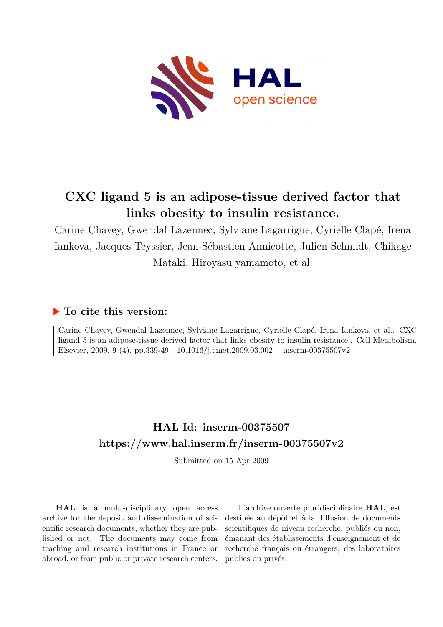

# **CXC ligand 5 is an adipose-tissue derived factor that links obesity to insulin resistance.**

Carine Chavey, Gwendal Lazennec, Sylviane Lagarrigue, Cyrielle Clapé, Irena Iankova, Jacques Teyssier, Jean-Sébastien Annicotte, Julien Schmidt, Chikage Mataki, Hiroyasu yamamoto, et al.

# **To cite this version:**

Carine Chavey, Gwendal Lazennec, Sylviane Lagarrigue, Cyrielle Clapé, Irena Iankova, et al.. CXC ligand 5 is an adipose-tissue derived factor that links obesity to insulin resistance.. Cell Metabolism, Elsevier, 2009, 9 (4), pp.339-49.  $10.1016/j.cmet.2009.03.002$ . inserm-00375507v2

# **HAL Id: inserm-00375507 <https://www.hal.inserm.fr/inserm-00375507v2>**

Submitted on 15 Apr 2009

**HAL** is a multi-disciplinary open access archive for the deposit and dissemination of scientific research documents, whether they are published or not. The documents may come from teaching and research institutions in France or abroad, or from public or private research centers.

L'archive ouverte pluridisciplinaire **HAL**, est destinée au dépôt et à la diffusion de documents scientifiques de niveau recherche, publiés ou non, émanant des établissements d'enseignement et de recherche français ou étrangers, des laboratoires publics ou privés.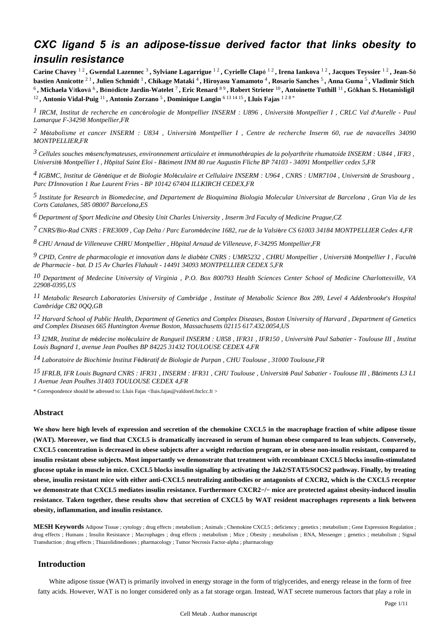# *CXC ligand 5 is an adipose-tissue derived factor that links obesity to insulin resistance*

Carine Chavey <sup>12</sup>, Gwendal Lazennec<sup>3</sup>, Sylviane Lagarrigue <sup>12</sup>, Cyrielle Clapé <sup>12</sup>, Irena Iankova <sup>12</sup>, Jacques Teyssier <sup>12</sup>, Jean-Sé **bastien Annicotte** 2 1 **, Julien Schmidt** <sup>1</sup> **, Chikage Mataki** <sup>4</sup> **, Hiroyasu Yamamoto** <sup>4</sup> **, Rosario Sanches** <sup>5</sup> **, Anna Guma** <sup>5</sup> **, Vladimir Stich**   $^6$ , Michaela Vítková  $^6$ , Bénédicte Jardin-Watelet  $^7$ , Eric Renard  $^{8\,9}$ , Robert Strieter  $^{10}$ , Antoinette Tuthill  $^{11}$ , Gôkhan S. Hotamisligil <sup>12</sup>, Antonio Vidal-Puig <sup>11</sup>, Antonio Zorzano <sup>5</sup>, Dominique Langin <sup>6 13 14 15</sup>, Lluis Fajas <sup>1 2 8</sup>

*IRCM, Institut de recherche en canc rologie de Montpellier 1* <sup>é</sup> *INSERM : U896 , Universit*é *Montpellier I , CRLC Val d*'*Aurelle - Paul Lamarque F-34298 Montpellier,FR*

<sup>2</sup> Métabolisme et cancer INSERM : U834, *Université Montpellier I*, Centre de recherche Inserm 60, rue de navacelles 34090 *MONTPELLIER,FR*

*Cellules souches m senchymateuses, environnement articulaire et immunoth rapies de la polyarthrite rhumatoide 3* <sup>é</sup> <sup>é</sup> *INSERM : U844 , IFR3 , Universit*é *Montpellier I , H*ô*pital Saint Eloi - B*â*timent INM 80 rue Augustin Fliche BP 74103 - 34091 Montpellier cedex 5,FR*

*IGBMC, Institut de G n tique et de Biologie Mol culaire et Cellulaire 4* <sup>é</sup> <sup>é</sup> <sup>é</sup> *INSERM : U964 , CNRS : UMR7104 , Universit*é *de Strasbourg , Parc D*'*Innovation 1 Rue Laurent Fries - BP 10142 67404 ILLKIRCH CEDEX,FR*

*Institute for Research in Biomedecine, and Departement de Bioquimina Biologia Molecular 5 Universitat de Barcelona , Gran Via de les Corts Catalanes, 585 08007 Barcelona,ES*

*Department of Sport Medicine and Obesity Unit 6 Charles University , Inserm 3rd Faculty of Medicine Prague,CZ*

*CNRS/Bio-Rad 7 CNRS : FRE3009 , Cap Delta / Parc Eurom*é*decine 1682, rue de la Valsi*è*re CS 61003 34184 MONTPELLIER Cedex 4,FR*

*CHU Arnaud de Villeneuve 8 CHRU Montpellier , H*ô*pital Arnaud de Villeneuve, F-34295 Montpellier,FR*

*CPID, Centre de pharmacologie et innovation dans le diab te 9* <sup>è</sup> *CNRS : UMR5232 , CHRU Montpellier , Universit*é *Montpellier I , Facult*<sup>é</sup> *de Pharmacie - bat. D 15 Av Charles Flahault - 14491 34093 MONTPELLIER CEDEX 5,FR*

*Department of Medecine 10 University of Virginia , P.O. Box 800793 Health Sciences Center School of Medicine Charlottesville, VA 22908-0395,US*

*Metabolic Research Laboratories 11 University of Cambridge , Institute of Metabolic Science Box 289, Level 4 Addenbrooke*'*s Hospital Cambridge CB2 0QQ,GB*

*Harvard School of Public Health, Department of Genetics and Complex Diseases, Boston 12 University of Harvard , Department of Genetics and Complex Diseases 665 Huntington Avenue Boston, Massachusetts 02115 617.432.0054,US*

*I2MR, Institut de m decine mol culaire de Rangueil 13* <sup>é</sup> <sup>é</sup> *INSERM : U858 , IFR31 , IFR150 , Universit*é *Paul Sabatier - Toulouse III , Institut Louis Bugnard 1, avenue Jean Poulhes BP 84225 31432 TOULOUSE CEDEX 4,FR*

*Laboratoire de Biochimie 14 Institut F*é*d*é*ratif de Biologie de Purpan , CHU Toulouse , 31000 Toulouse,FR*

*IFRLB, IFR Louis Bugnard 15 CNRS : IFR31 , INSERM : IFR31 , CHU Toulouse , Universit*é *Paul Sabatier - Toulouse III , B*â*timents L3 L1 1 Avenue Jean Poulhes 31403 TOULOUSE CEDEX 4,FR*

\* Correspondence should be adressed to: Lluis Fajas <lluis.fajas@valdorel.fnclcc.fr >

# **Abstract**

**We show here high levels of expression and secretion of the chemokine CXCL5 in the macrophage fraction of white adipose tissue (WAT). Moreover, we find that CXCL5 is dramatically increased in serum of human obese compared to lean subjects. Conversely, CXCL5 concentration is decreased in obese subjects after a weight reduction program, or in obese non-insulin resistant, compared to insulin resistant obese subjects. Most importantly we demonstrate that treatment with recombinant CXCL5 blocks insulin-stimulated glucose uptake in muscle in mice. CXCL5 blocks insulin signaling by activating the Jak2/STAT5/SOCS2 pathway. Finally, by treating obese, insulin resistant mice with either anti-CXCL5 neutralizing antibodies or antagonists of CXCR2, which is the CXCL5 receptor we demonstrate that CXCL5 mediates insulin resistance. Furthermore CXCR2**−**/**− **mice are protected against obesity-induced insulin resistance. Taken together, these results show that secretion of CXCL5 by WAT resident macrophages represents a link between obesity, inflammation, and insulin resistance.**

**MESH Keywords** Adipose Tissue ; cytology ; drug effects ; metabolism ; Animals ; Chemokine CXCL5 ; deficiency ; genetics ; metabolism ; Gene Expression Regulation ; drug effects ; Humans ; Insulin Resistance ; Macrophages ; drug effects ; metabolism ; Mice ; Obesity ; metabolism ; RNA, Messenger ; genetics ; metabolism ; Signal Transduction ; drug effects ; Thiazolidinediones ; pharmacology ; Tumor Necrosis Factor-alpha ; pharmacology

# **Introduction**

White adipose tissue (WAT) is primarily involved in energy storage in the form of triglycerides, and energy release in the form of free fatty acids. However, WAT is no longer considered only as a fat storage organ. Instead, WAT secrete numerous factors that play a role in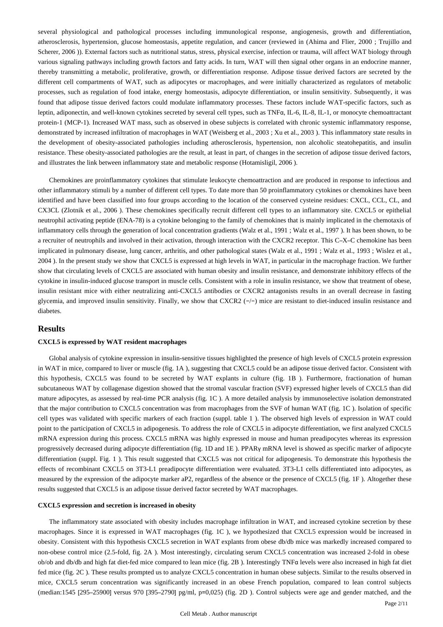several physiological and pathological processes including immunological response, angiogenesis, growth and differentiation, atherosclerosis, hypertension, glucose homeostasis, appetite regulation, and cancer (reviewed in (Ahima and Flier, 2000 ; Trujillo and Scherer, 2006 )). External factors such as nutritional status, stress, physical exercise, infection or trauma, will affect WAT biology through various signaling pathways including growth factors and fatty acids. In turn, WAT will then signal other organs in an endocrine manner, thereby transmitting a metabolic, proliferative, growth, or differentiation response. Adipose tissue derived factors are secreted by the different cell compartments of WAT, such as adipocytes or macrophages, and were initially characterized as regulators of metabolic processes, such as regulation of food intake, energy homeostasis, adipocyte differentiation, or insulin sensitivity. Subsequently, it was found that adipose tissue derived factors could modulate inflammatory processes. These factors include WAT-specific factors, such as leptin, adiponectin, and well-known cytokines secreted by several cell types, such as TNFα, IL-6, IL-8, IL-1, or monocyte chemoattractant protein-1 (MCP-1). Increased WAT mass, such as observed in obese subjects is correlated with chronic systemic inflammatory response, demonstrated by increased infiltration of macrophages in WAT (Weisberg et al., 2003 ; Xu et al., 2003 ). This inflammatory state results in the development of obesity-associated pathologies including atherosclerosis, hypertension, non alcoholic steatohepatitis, and insulin resistance. These obesity-associated pathologies are the result, at least in part, of changes in the secretion of adipose tissue derived factors, and illustrates the link between inflammatory state and metabolic response (Hotamisligil, 2006 ).

Chemokines are proinflammatory cytokines that stimulate leukocyte chemoattraction and are produced in response to infectious and other inflammatory stimuli by a number of different cell types. To date more than 50 proinflammatory cytokines or chemokines have been identified and have been classified into four groups according to the location of the conserved cysteine residues: CXCL, CCL, CL, and CX3CL (Zlotnik et al., 2006 ). These chemokines specifically recruit different cell types to an inflammatory site. CXCL5 or epithelial neutrophil activating peptide (ENA-78) is a cytokine belonging to the family of chemokines that is mainly implicated in the chemotaxis of inflammatory cells through the generation of local concentration gradients (Walz et al., 1991 ; Walz et al., 1997 ). It has been shown, to be a recruiter of neutrophils and involved in their activation, through interaction with the CXCR2 receptor. This C–X–C chemokine has been implicated in pulmonary disease, lung cancer, arthritis, and other pathological states (Walz et al., 1991 ; Walz et al., 1993 ; Wislez et al., 2004 ). In the present study we show that CXCL5 is expressed at high levels in WAT, in particular in the macrophage fraction. We further show that circulating levels of CXCL5 are associated with human obesity and insulin resistance, and demonstrate inhibitory effects of the cytokine in insulin-induced glucose transport in muscle cells. Consistent with a role in insulin resistance, we show that treatment of obese, insulin resistant mice with either neutralizing anti-CXCL5 antibodies or CXCR2 antagonists results in an overall decrease in fasting glycemia, and improved insulin sensitivity. Finally, we show that CXCR2 (−/−) mice are resistant to diet-induced insulin resistance and diabetes.

# **Results**

#### **CXCL5 is expressed by WAT resident macrophages**

Global analysis of cytokine expression in insulin-sensitive tissues highlighted the presence of high levels of CXCL5 protein expression in WAT in mice, compared to liver or muscle (fig. 1A ), suggesting that CXCL5 could be an adipose tissue derived factor. Consistent with this hypothesis, CXCL5 was found to be secreted by WAT explants in culture (fig. 1B ). Furthermore, fractionation of human subcutaneous WAT by collagenase digestion showed that the stromal vascular fraction (SVF) expressed higher levels of CXCL5 than did mature adipocytes, as assessed by real-time PCR analysis (fig. 1C ). A more detailed analysis by immunoselective isolation demonstrated that the major contribution to CXCL5 concentration was from macrophages from the SVF of human WAT (fig. 1C ). Isolation of specific cell types was validated with specific markers of each fraction (suppl. table 1 ). The observed high levels of expression in WAT could point to the participation of CXCL5 in adipogenesis. To address the role of CXCL5 in adipocyte differentiation, we first analyzed CXCL5 mRNA expression during this process. CXCL5 mRNA was highly expressed in mouse and human preadipocytes whereas its expression progressively decreased during adipocyte differentiation (fig. 1D and 1E ). PPARγ mRNA level is showed as specific marker of adipocyte differentiation (suppl. Fig. 1 ). This result suggested that CXCL5 was not critical for adipogenesis. To demonstrate this hypothesis the effects of recombinant CXCL5 on 3T3-L1 preadipocyte differentiation were evaluated. 3T3-L1 cells differentiated into adipocytes, as measured by the expression of the adipocyte marker aP2, regardless of the absence or the presence of CXCL5 (fig. 1F ). Altogether these results suggested that CXCL5 is an adipose tissue derived factor secreted by WAT macrophages.

#### **CXCL5 expression and secretion is increased in obesity**

The inflammatory state associated with obesity includes macrophage infiltration in WAT, and increased cytokine secretion by these macrophages. Since it is expressed in WAT macrophages (fig. 1C ), we hypothesized that CXCL5 expression would be increased in obesity. Consistent with this hypothesis CXCL5 secretion in WAT explants from obese db/db mice was markedly increased compared to non-obese control mice (2.5-fold, fig. 2A ). Most interestingly, circulating serum CXCL5 concentration was increased 2-fold in obese ob/ob and db/db and high fat diet-fed mice compared to lean mice (fig. 2B ). Interestingly TNFα levels were also increased in high fat diet fed mice (fig. 2C ). These results prompted us to analyze CXCL5 concentration in human obese subjects. Similar to the results observed in mice, CXCL5 serum concentration was significantly increased in an obese French population, compared to lean control subjects (median:1545 [295–25900] versus 970 [395–2790] pg/ml, p=0,025) (fig. 2D ). Control subjects were age and gender matched, and the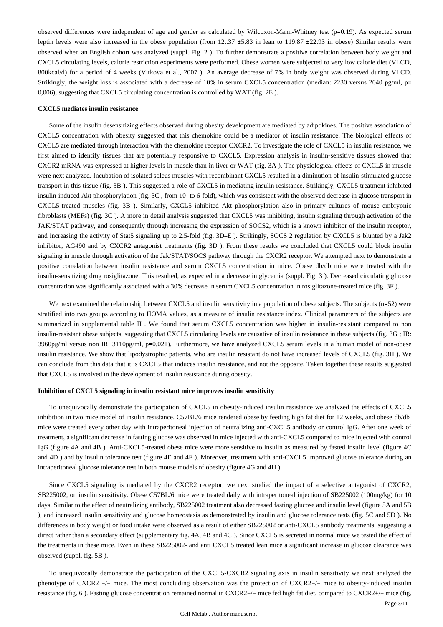observed differences were independent of age and gender as calculated by Wilcoxon-Mann-Whitney test (p=0.19). As expected serum leptin levels were also increased in the obese population (from 12..37 ±5.83 in lean to 119.87 ±22.93 in obese) Similar results were observed when an English cohort was analyzed (suppl. Fig. 2 ). To further demonstrate a positive correlation between body weight and CXCL5 circulating levels, calorie restriction experiments were performed. Obese women were subjected to very low calorie diet (VLCD, 800kcal/d) for a period of 4 weeks (Vitkova et al., 2007 ). An average decrease of 7% in body weight was observed during VLCD. Strikingly, the weight loss is associated with a decrease of 10% in serum CXCL5 concentration (median: 2230 versus 2040 pg/ml, p= 0,006), suggesting that CXCL5 circulating concentration is controlled by WAT (fig. 2E ).

#### **CXCL5 mediates insulin resistance**

Some of the insulin desensitizing effects observed during obesity development are mediated by adipokines. The positive association of CXCL5 concentration with obesity suggested that this chemokine could be a mediator of insulin resistance. The biological effects of CXCL5 are mediated through interaction with the chemokine receptor CXCR2. To investigate the role of CXCL5 in insulin resistance, we first aimed to identify tissues that are potentially responsive to CXCL5. Expression analysis in insulin-sensitive tissues showed that CXCR2 mRNA was expressed at higher levels in muscle than in liver or WAT (fig. 3A ). The physiological effects of CXCL5 in muscle were next analyzed. Incubation of isolated soleus muscles with recombinant CXCL5 resulted in a diminution of insulin-stimulated glucose transport in this tissue (fig. 3B ). This suggested a role of CXCL5 in mediating insulin resistance. Strikingly, CXCL5 treatment inhibited insulin-induced Akt phosphorylation (fig. 3C , from 10- to 6-fold), which was consistent with the observed decrease in glucose transport in CXCL5-treated muscles (fig. 3B ). Similarly, CXCL5 inhibited Akt phosphorylation also in primary cultures of mouse embryonic fibroblasts (MEFs) (fig. 3C ). A more in detail analysis suggested that CXCL5 was inhibiting, insulin signaling through activation of the JAK/STAT pathway, and consequently through increasing the expression of SOCS2, which is a known inhibitor of the insulin receptor, and increasing the activity of Stat5 signaling up to 2.5-fold (fig. 3D–E ). Strikingly, SOCS 2 regulation by CXCL5 is blunted by a Jak2 inhibitor, AG490 and by CXCR2 antagonist treatments (fig. 3D ). From these results we concluded that CXCL5 could block insulin signaling in muscle through activation of the Jak/STAT/SOCS pathway through the CXCR2 receptor. We attempted next to demonstrate a positive correlation between insulin resistance and serum CXCL5 concentration in mice. Obese db/db mice were treated with the insulin-sensitizing drug rosiglitazone. This resulted, as expected in a decrease in glycemia (suppl. Fig. 3 ). Decreased circulating glucose concentration was significantly associated with a 30% decrease in serum CXCL5 concentration in rosiglitazone-treated mice (fig. 3F ).

We next examined the relationship between CXCL5 and insulin sensitivity in a population of obese subjects. The subjects (n=52) were stratified into two groups according to HOMA values, as a measure of insulin resistance index. Clinical parameters of the subjects are summarized in supplemental table II. We found that serum CXCL5 concentration was higher in insulin-resistant compared to non insulin-resistant obese subjects, suggesting that CXCL5 circulating levels are causative of insulin resistance in these subjects (fig. 3G ; IR: 3960pg/ml versus non IR: 3110pg/ml, p=0,021). Furthermore, we have analyzed CXCL5 serum levels in a human model of non-obese insulin resistance. We show that lipodystrophic patients, who are insulin resistant do not have increased levels of CXCL5 (fig. 3H ). We can conclude from this data that it is CXCL5 that induces insulin resistance, and not the opposite. Taken together these results suggested that CXCL5 is involved in the development of insulin resistance during obesity.

#### **Inhibition of CXCL5 signaling in insulin resistant mice improves insulin sensitivity**

To unequivocally demonstrate the participation of CXCL5 in obesity-induced insulin resistance we analyzed the effects of CXCL5 inhibition in two mice model of insulin resistance. C57BL/6 mice rendered obese by feeding high fat diet for 12 weeks, and obese db/db mice were treated every other day with intraperitoneal injection of neutralizing anti-CXCL5 antibody or control IgG. After one week of treatment, a significant decrease in fasting glucose was observed in mice injected with anti-CXCL5 compared to mice injected with control IgG (figure 4A and 4B ). Anti-CXCL5-treated obese mice were more sensitive to insulin as measured by fasted insulin level (figure 4C and 4D ) and by insulin tolerance test (figure 4E and 4F ). Moreover, treatment with anti-CXCL5 improved glucose tolerance during an intraperitoneal glucose tolerance test in both mouse models of obesity (figure 4G and 4H ).

Since CXCL5 signaling is mediated by the CXCR2 receptor, we next studied the impact of a selective antagonist of CXCR2, SB225002, on insulin sensitivity. Obese C57BL/6 mice were treated daily with intraperitoneal injection of SB225002 (100mg/kg) for 10 days. Similar to the effect of neutralizing antibody, SB225002 treatment also decreased fasting glucose and insulin level (figure 5A and 5B ), and increased insulin sensitivity and glucose homeostasis as demonstrated by insulin and glucose tolerance tests (fig. 5C and 5D ). No differences in body weight or food intake were observed as a result of either SB225002 or anti-CXCL5 antibody treatments, suggesting a direct rather than a secondary effect (supplementary fig. 4A, 4B and 4C ). Since CXCL5 is secreted in normal mice we tested the effect of the treatments in these mice. Even in these SB225002- and anti CXCL5 treated lean mice a significant increase in glucose clearance was observed (suppl. fig. 5B ).

To unequivocally demonstrate the participation of the CXCL5-CXCR2 signaling axis in insulin sensitivity we next analyzed the phenotype of CXCR2 −/− mice. The most concluding observation was the protection of CXCR2−/− mice to obesity-induced insulin resistance (fig. 6 ). Fasting glucose concentration remained normal in CXCR2−/− mice fed high fat diet, compared to CXCR2+/+ mice (fig.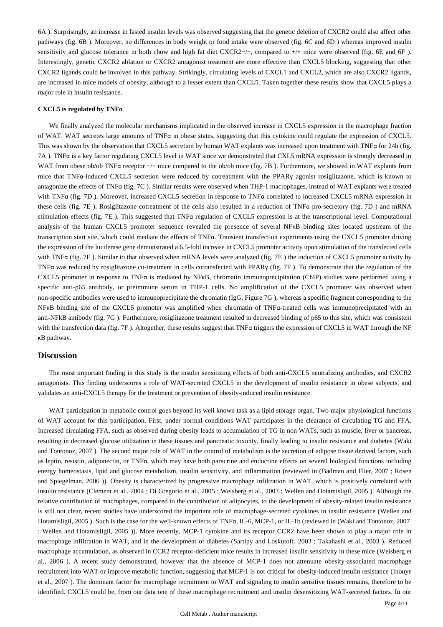6A ). Surprisingly, an increase in fasted insulin levels was observed suggesting that the genetic deletion of CXCR2 could also affect other pathways (fig. 6B ). Moreover, no differences in body weight or food intake were observed (fig. 6C and 6D ) whereas improved insulin sensitivity and glucose tolerance in both chow and high fat diet CXCR2−/-, compared to +/+ mice were observed (fig. 6E and 6F). Interestingly, genetic CXCR2 ablation or CXCR2 antagonist treatment are more effective than CXCL5 blocking, suggesting that other CXCR2 ligands could be involved in this pathway. Strikingly, circulating levels of CXCL1 and CXCL2, which are also CXCR2 ligands, are increased in mice models of obesity, although to a lesser extent than CXCL5. Taken together these results show that CXCL5 plays a major role in insulin resistance.

#### **CXCL5 is regulated by TNF**α

We finally analyzed the molecular mechanisms implicated in the observed increase in CXCL5 expression in the macrophage fraction of WAT. WAT secretes large amounts of TNFα in obese states, suggesting that this cytokine could regulate the expression of CXCL5. This was shown by the observation that CXCL5 secretion by human WAT explants was increased upon treatment with TNFα for 24h (fig. 7A ). TNFα is a key factor regulating CXCL5 level in WAT since we demonstrated that CXL5 mRNA expression is strongly decreased in WAT from obese ob/ob TNFα receptor -/- mice compared to the ob/ob mice (fig. 7B). Furthermore, we showed in WAT explants from mice that TNFα-induced CXCL5 secretion were reduced by cotreatment with the PPARγ agonist rosiglitazone, which is known to antagonize the effects of TNFα (fig. 7C ). Similar results were observed when THP-1 macrophages, instead of WAT explants were treated with TNFα (fig. 7D ). Moreover, increased CXCL5 secretion in response to TNFα correlated to increased CXCL5 mRNA expression in these cells (fig. 7E ). Rosiglitazone cotreatment of the cells also resulted in a reduction of TNFα pro-secretory (fig. 7D ) and mRNA stimulation effects (fig. 7E ). This suggested that TNFα regulation of CXCL5 expression is at the transcriptional level. Computational analysis of the human CXCL5 promoter sequence revealed the presence of several NFκB binding sites located upstream of the transcription start site, which could mediate the effects of TNFα. Transient transfection experiments using the CXCL5 promoter driving the expression of the luciferase gene demonstrated a 6.5-fold increase in CXCL5 promoter activity upon stimulation of the transfected cells with TNFα (fig. 7F ). Similar to that observed when mRNA levels were analyzed (fig. 7E ) the induction of CXCL5 promoter activity by TNFα was reduced by rosiglitazone co-treatment in cells cotransfected with PPARγ (fig. 7F ). To demonstrate that the regulation of the CXCL5 promoter in response to TNFα is mediated by NFκB, chromatin immunoprecipitation (ChIP) studies were performed using a specific anti-p65 antibody, or preimmune serum in THP-1 cells. No amplification of the CXCL5 promoter was observed when non-specific antibodies were used to immunoprecipitate the chromatin (IgG, Figure 7G ), whereas a specific fragment corresponding to the NFκB binding site of the CXCL5 promoter was amplified when chromatin of TNFα-treated cells was immunoprecipitated with an anti-NFkB antibody (fig. 7G ). Furthermore, rosiglitazone treatment resulted in decreased binding of p65 to this site, which was consistent with the transfection data (fig. 7F). Altogether, these results suggest that TNFα triggers the expression of CXCL5 in WAT through the NF κB pathway.

# **Discussion**

The most important finding in this study is the insulin sensitizing effects of both anti-CXCL5 neutralizing antibodies, and CXCR2 antagonists. This finding underscores a role of WAT-secreted CXCL5 in the development of insulin resistance in obese subjects, and validates an anti-CXCL5 therapy for the treatment or prevention of obesity-induced insulin resistance.

WAT participation in metabolic control goes beyond its well known task as a lipid storage organ. Two major physiological functions of WAT account for this participation. First, under normal conditions WAT participates in the clearance of circulating TG and FFA. Increased circulating FFA, such as observed during obesity leads to accumulation of TG in non WATs, such as muscle, liver or pancreas, resulting in decreased glucose utilization in these tissues and pancreatic toxicity, finally leading to insulin resistance and diabetes (Waki and Tontonoz, 2007 ). The second major role of WAT in the control of metabolism is the secretion of adipose tissue derived factors, such as leptin, resistin, adiponectin, or TNFα, which may have both paracrine and endocrine effects on several biological functions including energy homeostasis, lipid and glucose metabolism, insulin sensitivity, and inflammation (reviewed in (Badman and Flier, 2007 ; Rosen and Spiegelman, 2006 )). Obesity is characterized by progressive macrophage infiltration in WAT, which is positively correlated with insulin resistance (Clement et al., 2004 ; Di Gregorio et al., 2005 ; Weisberg et al., 2003 ; Wellen and Hotamisligil, 2005 ). Although the relative contribution of macrophages, compared to the contribution of adipocytes, to the development of obesity-related insulin resistance is still not clear, recent studies have underscored the important role of macrophage-secreted cytokines in insulin resistance (Wellen and Hotamisligil, 2005 ). Such is the case for the well-known effects of TNFα, IL-6, MCP-1, or IL-1b (reviewed in (Waki and Tontonoz, 2007 ; Wellen and Hotamisligil, 2005 )). More recently, MCP-1 cytokine and its receptor CCR2 have been shown to play a major role in macrophage infiltration in WAT, and in the development of diabetes (Sartipy and Loskutoff, 2003 ; Takahashi et al., 2003 ). Reduced macrophage accumulation, as observed in CCR2 receptor-deficient mice results in increased insulin sensitivity in these mice (Weisberg et al., 2006 ). A recent study demonstrated, however that the absence of MCP-1 does not attenuate obesity-associated macrophage recruitment into WAT or improve metabolic function, suggesting that MCP-1 is not critical for obesity-induced insulin resistance (Inouye et al., 2007 ). The dominant factor for macrophage recruitment to WAT and signaling to insulin sensitive tissues remains, therefore to be identified. CXCL5 could be, from our data one of these macrophage recruitment and insulin desensitizing WAT-secreted factors. In our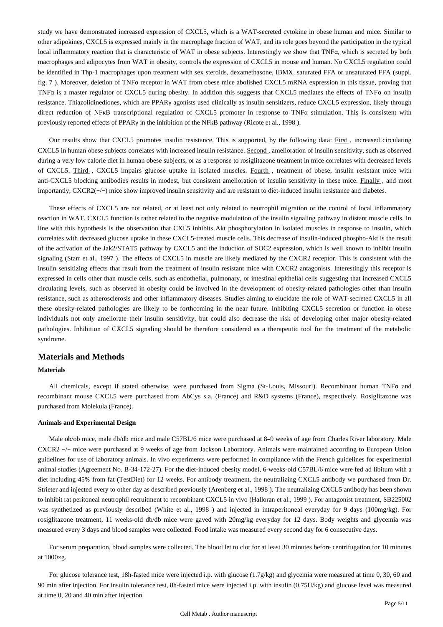study we have demonstrated increased expression of CXCL5, which is a WAT-secreted cytokine in obese human and mice. Similar to other adipokines, CXCL5 is expressed mainly in the macrophage fraction of WAT, and its role goes beyond the participation in the typical local inflammatory reaction that is characteristic of WAT in obese subjects. Interestingly we show that TNFα, which is secreted by both macrophages and adipocytes from WAT in obesity, controls the expression of CXCL5 in mouse and human. No CXCL5 regulation could be identified in Thp-1 macrophages upon treatment with sex steroids, dexamethasone, IBMX, saturated FFA or unsaturated FFA (suppl. fig. 7 ). Moreover, deletion of TNFα receptor in WAT from obese mice abolished CXCL5 mRNA expression in this tissue, proving that TNFα is a master regulator of CXCL5 during obesity. In addition this suggests that CXCL5 mediates the effects of TNFα on insulin resistance. Thiazolidinediones, which are PPARγ agonists used clinically as insulin sensitizers, reduce CXCL5 expression, likely through direct reduction of NFκB transcriptional regulation of CXCL5 promoter in response to TNFα stimulation. This is consistent with previously reported effects of PPARγ in the inhibition of the NFkB pathway (Ricote et al., 1998 ).

Our results show that CXCL5 promotes insulin resistance. This is supported, by the following data: First , increased circulating CXCL5 in human obese subjects correlates with increased insulin resistance. Second , amelioration of insulin sensitivity, such as observed during a very low calorie diet in human obese subjects, or as a response to rosiglitazone treatment in mice correlates with decreased levels of CXCL5. Third , CXCL5 impairs glucose uptake in isolated muscles. Fourth , treatment of obese, insulin resistant mice with anti-CXCL5 blocking antibodies results in modest, but consistent amelioration of insulin sensitivity in these mice. Finally, and most importantly, CXCR2(−/−) mice show improved insulin sensitivity and are resistant to diet-induced insulin resistance and diabetes.

These effects of CXCL5 are not related, or at least not only related to neutrophil migration or the control of local inflammatory reaction in WAT. CXCL5 function is rather related to the negative modulation of the insulin signaling pathway in distant muscle cells. In line with this hypothesis is the observation that CXL5 inhibits Akt phosphorylation in isolated muscles in response to insulin, which correlates with decreased glucose uptake in these CXCL5-treated muscle cells. This decrease of insulin-induced phospho-Akt is the result of the activation of the Jak2/STAT5 pathway by CXCL5 and the induction of SOC2 expression, which is well known to inhibit insulin signaling (Starr et al., 1997 ). The effects of CXCL5 in muscle are likely mediated by the CXCR2 receptor. This is consistent with the insulin sensitizing effects that result from the treatment of insulin resistant mice with CXCR2 antagonists. Interestingly this receptor is expressed in cells other than muscle cells, such as endothelial, pulmonary, or intestinal epithelial cells suggesting that increased CXCL5 circulating levels, such as observed in obesity could be involved in the development of obesity-related pathologies other than insulin resistance, such as atherosclerosis and other inflammatory diseases. Studies aiming to elucidate the role of WAT-secreted CXCL5 in all these obesity-related pathologies are likely to be forthcoming in the near future. Inhibiting CXCL5 secretion or function in obese individuals not only ameliorate their insulin sensitivity, but could also decrease the risk of developing other major obesity-related pathologies. Inhibition of CXCL5 signaling should be therefore considered as a therapeutic tool for the treatment of the metabolic syndrome.

# **Materials and Methods**

# **Materials**

All chemicals, except if stated otherwise, were purchased from Sigma (St-Louis, Missouri). Recombinant human TNFα and recombinant mouse CXCL5 were purchased from AbCys s.a. (France) and R&D systems (France), respectively. Rosiglitazone was purchased from Molekula (France).

#### **Animals and Experimental Design**

Male ob/ob mice, male db/db mice and male C57BL/6 mice were purchased at 8–9 weeks of age from Charles River laboratory. Male CXCR2 −/− mice were purchased at 9 weeks of age from Jackson Laboratory. Animals were maintained according to European Union guidelines for use of laboratory animals. In vivo experiments were performed in compliance with the French guidelines for experimental animal studies (Agreement No. B-34-172-27). For the diet-induced obesity model, 6-weeks-old C57BL/6 mice were fed ad libitum with a diet including 45% from fat (TestDiet) for 12 weeks. For antibody treatment, the neutralizing CXCL5 antibody we purchased from Dr. Strieter and injected every to other day as described previously (Arenberg et al., 1998 ). The neutralizing CXCL5 antibody has been shown to inhibit rat peritoneal neutrophil recruitment to recombinant CXCL5 in vivo (Halloran et al., 1999 ). For antagonist treatment, SB225002 was synthetized as previously described (White et al., 1998 ) and injected in intraperitoneal everyday for 9 days (100mg/kg). For rosiglitazone treatment, 11 weeks-old db/db mice were gaved with 20mg/kg everyday for 12 days. Body weights and glycemia was measured every 3 days and blood samples were collected. Food intake was measured every second day for 6 consecutive days.

For serum preparation, blood samples were collected. The blood let to clot for at least 30 minutes before centrifugation for 10 minutes at 1000×g.

For glucose tolerance test, 18h-fasted mice were injected i.p. with glucose (1.7g/kg) and glycemia were measured at time 0, 30, 60 and 90 min after injection. For insulin tolerance test, 8h-fasted mice were injected i.p. with insulin (0.75U/kg) and glucose level was measured at time 0, 20 and 40 min after injection.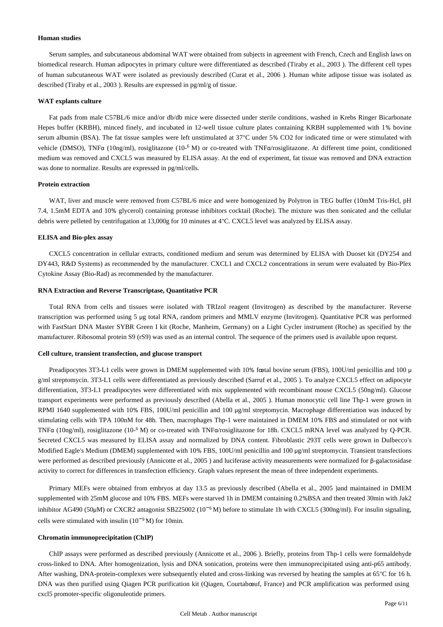#### **Human studies**

Serum samples, and subcutaneous abdominal WAT were obtained from subjects in agreement with French, Czech and English laws on biomedical research. Human adipocytes in primary culture were differentiated as described (Tiraby et al., 2003 ). The different cell types of human subcutaneous WAT were isolated as previously described (Curat et al., 2006 ). Human white adipose tissue was isolated as described (Tiraby et al., 2003 ). Results are expressed in pg/ml/g of tissue.

#### **WAT explants culture**

Fat pads from male C57BL/6 mice and/or db/db mice were dissected under sterile conditions, washed in Krebs Ringer Bicarbonate Hepes buffer (KRBH), minced finely, and incubated in 12-well tissue culture plates containing KRBH supplemented with 1% bovine serum albumin (BSA). The fat tissue samples were left unstimulated at 37°C under 5% CO2 for indicated time or were stimulated with vehicle (DMSO), TNFα (10ng/ml), rosiglitazone (10-<sup>6</sup> M) or co-treated with TNFα/rosiglitazone. At different time point, conditioned medium was removed and CXCL5 was measured by ELISA assay. At the end of experiment, fat tissue was removed and DNA extraction was done to normalize. Results are expressed in pg/ml/cells.

# **Protein extraction**

WAT, liver and muscle were removed from C57BL/6 mice and were homogenized by Polytron in TEG buffer (10mM Tris-Hcl, pH 7.4, 1.5mM EDTA and 10% glycerol) containing protease inhibitors cocktail (Roche). The mixture was then sonicated and the cellular debris were pelleted by centrifugation at 13,000g for 10 minutes at 4°C. CXCL5 level was analyzed by ELISA assay.

#### **ELISA and Bio-plex assay**

CXCL5 concentration in cellular extracts, conditioned medium and serum was determined by ELISA with Duoset kit (DY254 and DY443, R&D Systems) as recommended by the manufacturer. CXCL1 and CXCL2 concentrations in serum were evaluated by Bio-Plex Cytokine Assay (Bio-Rad) as recommended by the manufacturer.

#### **RNA Extraction and Reverse Transcriptase, Quantitative PCR**

Total RNA from cells and tissues were isolated with TRIzol reagent (Invitrogen) as described by the manufacturer. Reverse transcription was performed using 5 μg total RNA, random primers and MMLV enzyme (Invitrogen). Quantitative PCR was performed with FastStart DNA Master SYBR Green I kit (Roche, Manheim, Germany) on a Light Cycler instrument (Roche) as specified by the manufacturer. Ribosomal protein S9 (rS9) was used as an internal control. The sequence of the primers used is available upon request.

# **Cell culture, transient transfection, and glucose transport**

Preadipocytes 3T3-L1 cells were grown in DMEM supplemented with 10% fœtal bovine serum (FBS), 100U/ml penicillin and 100 μ g/ml streptomycin. 3T3-L1 cells were differentiated as previously described (Sarruf et al., 2005 ). To analyze CXCL5 effect on adipocyte differentiation, 3T3-L1 preadipocytes were differentiated with mix supplemented with recombinant mouse CXCL5 (50ng/ml). Glucose transport experiments were performed as previously described (Abella et al., 2005 ). Human monocytic cell line Thp-1 were grown in RPMI 1640 supplemented with 10% FBS, 100U/ml penicillin and 100 μg/ml streptomycin. Macrophage differentiation was induced by stimulating cells with TPA 100nM for 48h. Then, macrophages Thp-1 were maintained in DMEM 10% FBS and stimulated or not with TNF $\alpha$  (10ng/ml), rosiglitazone (10- $\delta$  M) or co-treated with TNF $\alpha$ /rosiglitazone for 18h. CXCL5 mRNA level was analyzed by Q-PCR. Secreted CXCL5 was measured by ELISA assay and normalized by DNA content. Fibroblastic 293T cells were grown in Dulbecco's Modified Eagle's Medium (DMEM) supplemented with 10% FBS, 100U/ml penicillin and 100 μg/ml streptomycin. Transient transfections were performed as described previously (Annicotte et al., 2005 ) and luciferase activity measurements were normalized for β-galactosidase activity to correct for differences in transfection efficiency. Graph values represent the mean of three independent experiments.

Primary MEFs were obtained from embryos at day 13.5 as previously described (Abella et al., 2005 )and maintained in DMEM supplemented with 25mM glucose and 10% FBS. MEFs were starved 1h in DMEM containing 0.2%BSA and then treated 30min with Jak2 inhibitor AG490 (50μM) or CXCR2 antagonist SB225002 ( $10^{-6}$ M) before to stimulate 1h with CXCL5 (300ng/ml). For insulin signaling, cells were stimulated with insulin  $(10^{-9} M)$  for 10min.

#### **Chromatin immunoprecipitation (ChIP)**

ChIP assays were performed as described previously (Annicotte et al., 2006 ). Briefly, proteins from Thp-1 cells were formaldehyde cross-linked to DNA. After homogenization, lysis and DNA sonication, proteins were then immunoprecipitated using anti-p65 antibody. After washing, DNA-protein-complexes were subsequently eluted and cross-linking was reversed by heating the samples at 65°C for 16 h. DNA was then purified using Qiagen PCR purification kit (Qiagen, Courtabœuf, France) and PCR amplification was performed using cxcl5 promoter-specific oligonuleotide primers.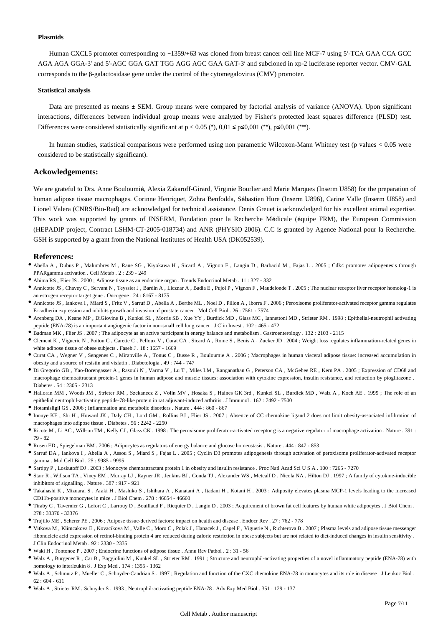#### **Plasmids**

Human CXCL5 promoter corresponding to −1359/+63 was cloned from breast cancer cell line MCF-7 using 5′-TCA GAA CCA GCC AGA AGA GGA-3′ and 5′-AGC GGA GAT TGG AGG AGC GAA GAT-3′ and subcloned in xp-2 luciferase reporter vector. CMV-GAL corresponds to the β-galactosidase gene under the control of the cytomegalovirus (CMV) promoter.

#### **Statistical analysis**

Data are presented as means ± SEM. Group means were compared by factorial analysis of variance (ANOVA). Upon significant interactions, differences between individual group means were analyzed by Fisher's protected least squares difference (PLSD) test. Differences were considered statistically significant at  $p < 0.05$  (\*),  $0.01 \le p \le 0.001$  (\*\*),  $p \le 0.001$  (\*\*\*).

In human studies, statistical comparisons were performed using non parametric Wilcoxon-Mann Whitney test (p values < 0.05 were considered to be statistically significant).

# **Ackowledgements:**

We are grateful to Drs. Anne Bouloumié, Alexia Zakaroff-Girard, Virginie Bourlier and Marie Marques (Inserm U858) for the preparation of human adipose tissue macrophages. Corinne Henriquet, Zohra Benfodda, Sébastien Hure (Inserm U896), Carine Valle (Inserm U858) and Lionel Valera (CNRS/Bio-Rad) are acknowledged for technical assistance. Denis Greuet is acknowledged for his excellent animal expertise. This work was supported by grants of INSERM, Fondation pour la Recherche Médicale (équipe FRM), the European Commission (HEPADIP project, Contract LSHM-CT-2005-018734) and ANR (PHYSIO 2006). C.C is granted by Agence National pour la Recherche. GSH is supported by a grant from the National Institutes of Health USA (DK052539).

# **References:**

- Abella A , Dubus P , Malumbres M , Rane SG , Kiyokawa H , Sicard A , Vignon F , Langin D , Barbacid M , Fajas L . 2005 ; Cdk4 promotes adipogenesis through PPARgamma activation . Cell Metab . 2 : 239 - 249
- Ahima RS , Flier JS . 2000 ; Adipose tissue as an endocrine organ . Trends Endocrinol Metab . 11 : 327 332
- Annicotte JS , Chavey C , Servant N , Teyssier J , Bardin A , Licznar A , Badia E , Pujol P , Vignon F , Maudelonde T . 2005 ; The nuclear receptor liver receptor homolog-1 is an estrogen receptor target gene . Oncogene . 24 : 8167 - 8175
- Annicotte JS , Iankova I , Miard S , Fritz V , Sarruf D , Abella A , Berthe ML , Noel D , Pillon A , Iborra F . 2006 ; Peroxisome proliferator-activated receptor gamma regulates E-cadherin expression and inhibits growth and invasion of prostate cancer . Mol Cell Biol . 26 : 7561 - 7574
- Arenberg DA , Keane MP , DiGiovine B , Kunkel SL , Morris SB , Xue YY , Burdick MD , Glass MC , Iannettoni MD , Strieter RM . 1998 ; Epithelial-neutrophil activating peptide (ENA-78) is an important angiogenic factor in non-small cell lung cancer . J Clin Invest . 102 : 465 - 472
- Badman MK , Flier JS . 2007 ; The adipocyte as an active participant in energy balance and metabolism . Gastroenterology . 132 : 2103 2115
- Clement K , Viguerie N , Poitou C , Carette C , Pelloux V , Curat CA , Sicard A , Rome S , Benis A , Zucker JD . 2004 ; Weight loss regulates inflammation-related genes in white adipose tissue of obese subjects . Faseb J . 18 : 1657 - 1669
- Curat CA , Wegner V , Sengenes C , Miranville A , Tonus C , Busse R , Bouloumie A . 2006 ; Macrophages in human visceral adipose tissue: increased accumulation in obesity and a source of resistin and visfatin . Diabetologia . 49 : 744 - 747
- Di Gregorio GB , Yao-Borengasser A , Rasouli N , Varma V , Lu T , Miles LM , Ranganathan G , Peterson CA , McGehee RE , Kern PA . 2005 ; Expression of CD68 and macrophage chemoattractant protein-1 genes in human adipose and muscle tissues: association with cytokine expression, insulin resistance, and reduction by pioglitazone . Diabetes . 54 : 2305 - 2313
- Halloran MM , Woods JM , Strieter RM , Szekanecz Z , Volin MV , Hosaka S , Haines GK 3rd , Kunkel SL , Burdick MD , Walz A , Koch AE . 1999 ; The role of an epithelial neutrophil-activating peptide-78-like protein in rat adjuvant-induced arthritis . J Immunol . 162 : 7492 - 7500
- Hotamisligil GS . 2006 ; Inflammation and metabolic disorders . Nature . 444 : 860 867
- Inouye KE , Shi H , Howard JK , Daly CH , Lord GM , Rollins BJ , Flier JS . 2007 ; Absence of CC chemokine ligand 2 does not limit obesity-associated infiltration of macrophages into adipose tissue . Diabetes . 56 : 2242 - 2250
- Ricote M, Li AC, Willson TM, Kelly CJ, Glass CK. 1998; The peroxisome proliferator-activated receptor g is a negative regulator of macrophage activation. Nature . 391 : 79 - 82
- Rosen ED , Spiegelman BM . 2006 ; Adipocytes as regulators of energy balance and glucose homeostasis . Nature . 444 : 847 853
- Sarruf DA , Iankova I , Abella A , Assou S , Miard S , Fajas L . 2005 ; Cyclin D3 promotes adipogenesis through activation of peroxisome proliferator-activated receptor gamma . Mol Cell Biol . 25 : 9985 - 9995
- Sartipy P , Loskutoff DJ . 2003 ; Monocyte chemoattractant protein 1 in obesity and insulin resistance . Proc Natl Acad Sci U S A . 100 : 7265 7270
- Starr R , Willson TA , Viney EM , Murray LJ , Rayner JR , Jenkins BJ , Gonda TJ , Alexander WS , Metcalf D , Nicola NA , Hilton DJ . 1997 ; A family of cytokine-inducible inhibitors of signalling . Nature . 387 : 917 - 921
- Takahashi K , Mizuarai S , Araki H , Mashiko S , Ishihara A , Kanatani A , Itadani H , Kotani H . 2003 ; Adiposity elevates plasma MCP-1 levels leading to the increased CD11b-positive monocytes in mice . J Biol Chem . 278 : 46654 - 46660
- Tiraby C , Tavernier G , Lefort C , Larrouy D , Bouillaud F , Ricquier D , Langin D . 2003 ; Acquirement of brown fat cell features by human white adipocytes . J Biol Chem . 278 : 33370 - 33376
- Trujillo ME , Scherer PE . 2006 ; Adipose tissue-derived factors: impact on health and disease . Endocr Rev . 27 : 762 778
- Vitkova M , Klimcakova E , Kovacikova M , Valle C , Moro C , Polak J , Hanacek J , Capel F , Viguerie N , Richterova B . 2007 ; Plasma levels and adipose tissue messenger ribonucleic acid expression of retinol-binding protein 4 are reduced during calorie restriction in obese subjects but are not related to diet-induced changes in insulin sensitivity . J Clin Endocrinol Metab . 92 : 2330 - 2335
- Waki H , Tontonoz P . 2007 ; Endocrine functions of adipose tissue . Annu Rev Pathol . 2 : 31 56
- Walz A , Burgener R , Car B , Baggiolini M , Kunkel SL , Strieter RM . 1991 ; Structure and neutrophil-activating properties of a novel inflammatory peptide (ENA-78) with homology to interleukin 8 . J Exp Med . 174 : 1355 - 1362
- Walz A , Schmutz P , Mueller C , Schnyder-Candrian S . 1997 ; Regulation and function of the CXC chemokine ENA-78 in monocytes and its role in disease . J Leukoc Biol . 62 : 604 - 611
- Walz A , Strieter RM , Schnyder S . 1993 ; Neutrophil-activating peptide ENA-78 . Adv Exp Med Biol . 351 : 129 137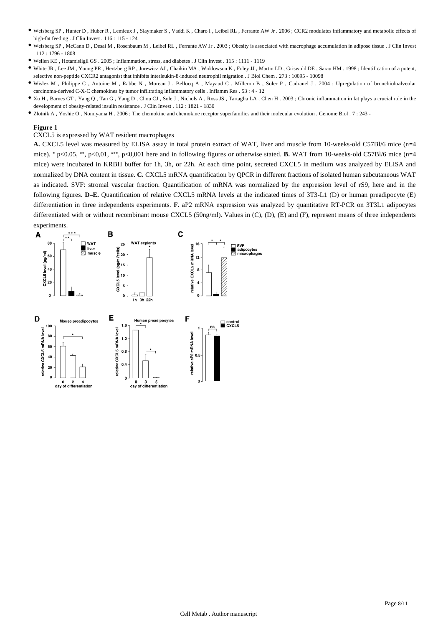- Weisberg SP , Hunter D , Huber R , Lemieux J , Slaymaker S , Vaddi K , Charo I , Leibel RL , Ferrante AW Jr . 2006 ; CCR2 modulates inflammatory and metabolic effects of high-fat feeding . J Clin Invest . 116 : 115 - 124
- Weisberg SP , McCann D , Desai M , Rosenbaum M , Leibel RL , Ferrante AW Jr . 2003 ; Obesity is associated with macrophage accumulation in adipose tissue . J Clin Invest . 112 : 1796 - 1808
- Wellen KE , Hotamisligil GS . 2005 ; Inflammation, stress, and diabetes . J Clin Invest . 115 : 1111 1119
- White JR , Lee JM , Young PR , Hertzberg RP , Jurewicz AJ , Chaikin MA , Widdowson K , Foley JJ , Martin LD , Griswold DE , Sarau HM . 1998 ; Identification of a potent, selective non-peptide CXCR2 antagonist that inhibits interleukin-8-induced neutrophil migration . J Biol Chem . 273 : 10095 - 10098
- Wislez M , Philippe C , Antoine M , Rabbe N , Moreau J , Bellocq A , Mayaud C , Milleron B , Soler P , Cadranel J . 2004 ; Upregulation of bronchioloalveolar carcinoma-derived C-X-C chemokines by tumor infiltrating inflammatory cells . Inflamm Res . 53 : 4 - 12
- Xu H , Barnes GT , Yang Q , Tan G , Yang D , Chou CJ , Sole J , Nichols A , Ross JS , Tartaglia LA , Chen H . 2003 ; Chronic inflammation in fat plays a crucial role in the development of obesity-related insulin resistance . J Clin Invest . 112 : 1821 - 1830
- Zlotnik A , Yoshie O , Nomiyama H . 2006 ; The chemokine and chemokine receptor superfamilies and their molecular evolution . Genome Biol . 7 : 243 -

#### CXCL5 is expressed by WAT resident macrophages

**A.** CXCL5 level was measured by ELISA assay in total protein extract of WAT, liver and muscle from 10-weeks-old C57Bl/6 mice (n=4 mice). \* p<0.05, \*\*, p<0.01, \*\*\*, p<0.001 here and in following figures or otherwise stated. **B.** WAT from 10-weeks-old C57Bl/6 mice (n=4 mice) were incubated in KRBH buffer for 1h, 3h, or 22h. At each time point, secreted CXCL5 in medium was analyzed by ELISA and normalized by DNA content in tissue. **C.** CXCL5 mRNA quantification by QPCR in different fractions of isolated human subcutaneous WAT as indicated. SVF: stromal vascular fraction. Quantification of mRNA was normalized by the expression level of rS9, here and in the following figures. **D**–**E.** Quantification of relative CXCL5 mRNA levels at the indicated times of 3T3-L1 (D) or human preadipocyte (E) differentiation in three independents experiments. **F.** aP2 mRNA expression was analyzed by quantitative RT-PCR on 3T3L1 adipocytes differentiated with or without recombinant mouse CXCL5 (50ng/ml). Values in (C), (D), (E) and (F), represent means of three independents experiments.

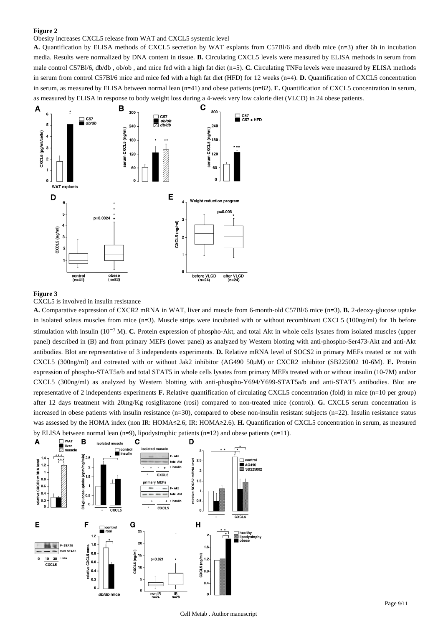#### Obesity increases CXCL5 release from WAT and CXCL5 systemic level

**A.** Quantification by ELISA methods of CXCL5 secretion by WAT explants from C57Bl/6 and db/db mice (n=3) after 6h in incubation media. Results were normalized by DNA content in tissue. **B.** Circulating CXCL5 levels were measured by ELISA methods in serum from male control C57Bl/6, db/db , ob/ob , and mice fed with a high fat diet (n=5). **C.** Circulating TNFα levels were measured by ELISA methods in serum from control C57Bl/6 mice and mice fed with a high fat diet (HFD) for 12 weeks (n=4). **D.** Quantification of CXCL5 concentration in serum, as measured by ELISA between normal lean (n=41) and obese patients (n=82). **E.** Quantification of CXCL5 concentration in serum, as measured by ELISA in response to body weight loss during a 4-week very low calorie diet (VLCD) in 24 obese patients.



# **Figure 3**

CXCL5 is involved in insulin resistance

**A.** Comparative expression of CXCR2 mRNA in WAT, liver and muscle from 6-month-old C57Bl/6 mice (n=3). **B.** 2-deoxy-glucose uptake in isolated soleus muscles from mice (n=3). Muscle strips were incubated with or without recombinant CXCL5 (100ng/ml) for 1h before stimulation with insulin (10<sup>-7</sup> M). **C.** Protein expression of phospho-Akt, and total Akt in whole cells lysates from isolated muscles (upper panel) described in (B) and from primary MEFs (lower panel) as analyzed by Western blotting with anti-phospho-Ser473-Akt and anti-Akt antibodies. Blot are representative of 3 independents experiments. **D.** Relative mRNA level of SOCS2 in primary MEFs treated or not with CXCL5 (300ng/ml) and cotreated with or without Jak2 inhibitor (AG490 50μM) or CXCR2 inhibitor (SB225002 10-6M). **E.** Protein expression of phospho-STAT5a/b and total STAT5 in whole cells lysates from primary MEFs treated with or without insulin (10-7M) and/or CXCL5 (300ng/ml) as analyzed by Western blotting with anti-phospho-Y694/Y699-STAT5a/b and anti-STAT5 antibodies. Blot are representative of 2 independents experiments **F.** Relative quantification of circulating CXCL5 concentration (fold) in mice (n=10 per group) after 12 days treatment with 20mg/Kg rosiglitazone (rosi) compared to non-treated mice (control). **G.** CXCL5 serum concentration is increased in obese patients with insulin resistance (n=30), compared to obese non-insulin resistant subjects (n=22). Insulin resistance status was assessed by the HOMA index (non IR: HOMA≤2.6; IR: HOMA≥2.6). **H.** Quantification of CXCL5 concentration in serum, as measured by ELISA between normal lean (n=9), lipodystrophic patients (n=12) and obese patients (n=11).

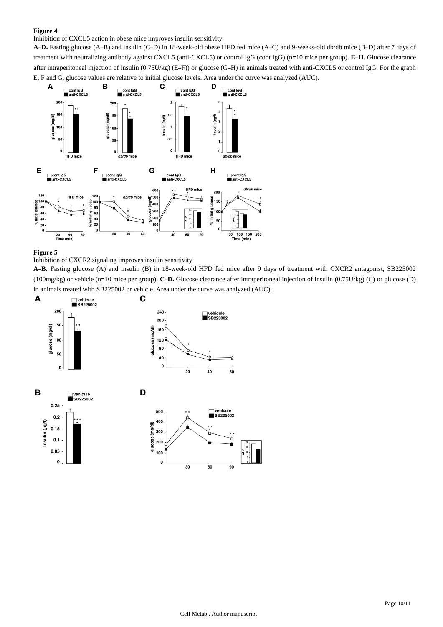# Inhibition of CXCL5 action in obese mice improves insulin sensitivity

**A**–**D.** Fasting glucose (A–B) and insulin (C–D) in 18-week-old obese HFD fed mice (A–C) and 9-weeks-old db/db mice (B–D) after 7 days of treatment with neutralizing antibody against CXCL5 (anti-CXCL5) or control IgG (cont IgG) (n=10 mice per group). **E**–**H.** Glucose clearance after intraperitoneal injection of insulin (0.75U/kg) (E–F)) or glucose (G–H) in animals treated with anti-CXCL5 or control IgG. For the graph E, F and G, glucose values are relative to initial glucose levels. Area under the curve was analyzed (AUC).



# **Figure 5**

# Inhibition of CXCR2 signaling improves insulin sensitivity

**A**–**B.** Fasting glucose (A) and insulin (B) in 18-week-old HFD fed mice after 9 days of treatment with CXCR2 antagonist, SB225002 (100mg/kg) or vehicle (n=10 mice per group). **C**–**D.** Glucose clearance after intraperitoneal injection of insulin (0.75U/kg) (C) or glucose (D) in animals treated with SB225002 or vehicle. Area under the curve was analyzed (AUC).